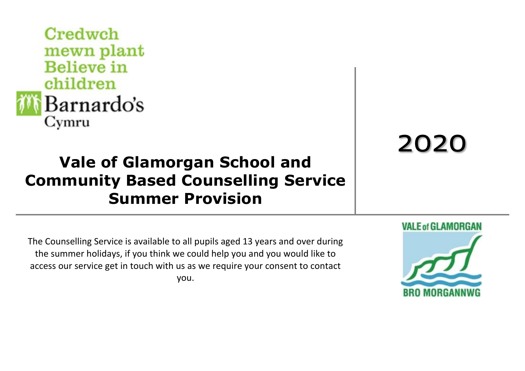

## **Vale of Glamorgan School and Community Based Counselling Service Summer Provision**

## 2020

The Counselling Service is available to all pupils aged 13 years and over during the summer holidays, if you think we could help you and you would like to access our service get in touch with us as we require your consent to contact you.